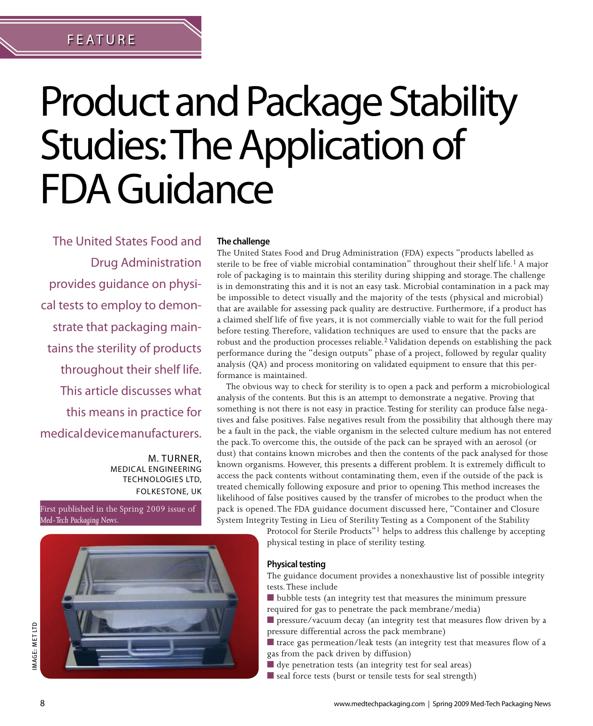# FEATU R E

FEATUr e

# Product and Package Stability Studies: The Application of FDA Guidance

The United States Food and Drug Administration provides guidance on physical tests to employ to demonstrate that packaging maintains the sterility of products throughout their shelf life. This article discusses what this means in practice for medical device manufacturers.

> M. TURNER, Medical Engineering Technologies Ltd, Folkestone, UK

First published in the Spring 2009 issue of *Med-Tech Packaging News*.

### **The challenge**

The United States Food and Drug Administration (FDA) expects "products labelled as sterile to be free of viable microbial contamination" throughout their shelf life.<sup>1</sup> A major role of packaging is to maintain this sterility during shipping and storage. The challenge is in demonstrating this and it is not an easy task. Microbial contamination in a pack may be impossible to detect visually and the majority of the tests (physical and microbial) that are available for assessing pack quality are destructive. Furthermore, if a product has a claimed shelf life of five years, it is not commercially viable to wait for the full period before testing. Therefore, validation techniques are used to ensure that the packs are robust and the production processes reliable.<sup>2</sup> Validation depends on establishing the pack performance during the "design outputs" phase of a project, followed by regular quality analysis (QA) and process monitoring on validated equipment to ensure that this performance is maintained.

The obvious way to check for sterility is to open a pack and perform a microbiological analysis of the contents. But this is an attempt to demonstrate a negative. Proving that something is not there is not easy in practice. Testing for sterility can produce false negatives and false positives. False negatives result from the possibility that although there may be a fault in the pack, the viable organism in the selected culture medium has not entered the pack. To overcome this, the outside of the pack can be sprayed with an aerosol (or dust) that contains known microbes and then the contents of the pack analysed for those known organisms. However, this presents a different problem. It is extremely difficult to access the pack contents without contaminating them, even if the outside of the pack is treated chemically following exposure and prior to opening. This method increases the likelihood of false positives caused by the transfer of microbes to the product when the pack is opened. The FDA guidance document discussed here, "Container and Closure System Integrity Testing in Lieu of Sterility Testing as a Component of the Stability

> Protocol for Sterile Products"1 helps to address this challenge by accepting physical testing in place of sterility testing.

### **Physical testing**

The guidance document provides a nonexhaustive list of possible integrity tests. These include

■ bubble tests (an integrity test that measures the minimum pressure required for gas to penetrate the pack membrane/media)

■ pressure/vacuum decay (an integrity test that measures flow driven by a pressure differential across the pack membrane)

■ trace gas permeation/leak tests (an integrity test that measures flow of a gas from the pack driven by diffusion)

- dye penetration tests (an integrity test for seal areas)
- seal force tests (burst or tensile tests for seal strength)



Image: MET LTD

**MAGE: MET LTD**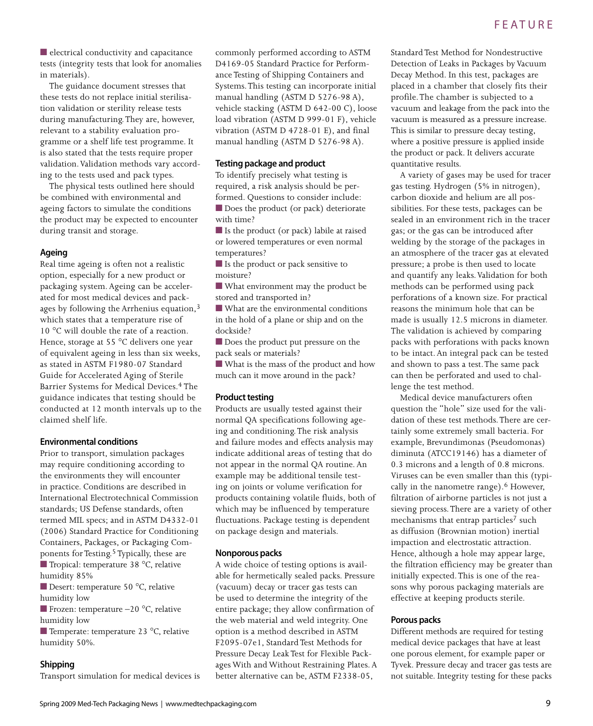■ electrical conductivity and capacitance tests (integrity tests that look for anomalies in materials).

The guidance document stresses that these tests do not replace initial sterilisation validation or sterility release tests during manufacturing. They are, however, relevant to a stability evaluation programme or a shelf life test programme. It is also stated that the tests require proper validation. Validation methods vary according to the tests used and pack types.

The physical tests outlined here should be combined with environmental and ageing factors to simulate the conditions the product may be expected to encounter during transit and storage.

#### **Ageing**

Real time ageing is often not a realistic option, especially for a new product or packaging system. Ageing can be accelerated for most medical devices and packages by following the Arrhenius equation,<sup>3</sup> which states that a temperature rise of 10 °C will double the rate of a reaction. Hence, storage at 55 °C delivers one year of equivalent ageing in less than six weeks, as stated in ASTM F1980-07 Standard Guide for Accelerated Aging of Sterile Barrier Systems for Medical Devices.4 The guidance indicates that testing should be conducted at 12 month intervals up to the claimed shelf life.

### **Environmental conditions**

Prior to transport, simulation packages may require conditioning according to the environments they will encounter in practice. Conditions are described in International Electrotechnical Commission standards; US Defense standards, often termed MIL specs; and in ASTM D4332-01 (2006) Standard Practice for Conditioning Containers, Packages, or Packaging Components for Testing.<sup>5</sup> Typically, these are ■ Tropical: temperature 38 °C, relative humidity 85%

■ Desert: temperature 50 °C, relative humidity low

■ Frozen: temperature –20 °C, relative humidity low

■ Temperate: temperature 23 °C, relative humidity 50%.

#### **Shipping**

Transport simulation for medical devices is

commonly performed according to ASTM D4169-05 Standard Practice for Performance Testing of Shipping Containers and Systems. This testing can incorporate initial manual handling (ASTM D 5276-98 A), vehicle stacking (ASTM D 642-00 C), loose load vibration (ASTM D 999-01 F), vehicle vibration (ASTM D 4728-01 E), and final manual handling (ASTM D 5276-98 A).

#### **Testing package and product**

To identify precisely what testing is required, a risk analysis should be performed. Questions to consider include: ■ Does the product (or pack) deteriorate with time?

■ Is the product (or pack) labile at raised or lowered temperatures or even normal temperatures?

■ Is the product or pack sensitive to moisture?

■ What environment may the product be stored and transported in?

■ What are the environmental conditions in the hold of a plane or ship and on the dockside?

■ Does the product put pressure on the pack seals or materials?

■ What is the mass of the product and how much can it move around in the pack?

#### **Product testing**

Products are usually tested against their normal QA specifications following ageing and conditioning. The risk analysis and failure modes and effects analysis may indicate additional areas of testing that do not appear in the normal QA routine. An example may be additional tensile testing on joints or volume verification for products containing volatile fluids, both of which may be influenced by temperature fluctuations. Package testing is dependent on package design and materials.

# **Nonporous packs**

A wide choice of testing options is available for hermetically sealed packs. Pressure (vacuum) decay or tracer gas tests can be used to determine the integrity of the entire package; they allow confirmation of the web material and weld integrity. One option is a method described in ASTM F2095-07e1, Standard Test Methods for Pressure Decay Leak Test for Flexible Packages With and Without Restraining Plates. A better alternative can be, ASTM F2338-05,

Standard Test Method for Nondestructive Detection of Leaks in Packages by Vacuum Decay Method. In this test, packages are placed in a chamber that closely fits their profile. The chamber is subjected to a vacuum and leakage from the pack into the vacuum is measured as a pressure increase. This is similar to pressure decay testing, where a positive pressure is applied inside the product or pack. It delivers accurate quantitative results.

A variety of gases may be used for tracer gas testing. Hydrogen (5% in nitrogen), carbon dioxide and helium are all possibilities. For these tests, packages can be sealed in an environment rich in the tracer gas; or the gas can be introduced after welding by the storage of the packages in an atmosphere of the tracer gas at elevated pressure; a probe is then used to locate and quantify any leaks. Validation for both methods can be performed using pack perforations of a known size. For practical reasons the minimum hole that can be made is usually 12.5 microns in diameter. The validation is achieved by comparing packs with perforations with packs known to be intact. An integral pack can be tested and shown to pass a test. The same pack can then be perforated and used to challenge the test method.

Medical device manufacturers often question the "hole" size used for the validation of these test methods. There are certainly some extremely small bacteria. For example, Brevundimonas (Pseudomonas) diminuta (ATCC19146) has a diameter of 0.3 microns and a length of 0.8 microns. Viruses can be even smaller than this (typically in the nanometre range).<sup>6</sup> However, filtration of airborne particles is not just a sieving process. There are a variety of other mechanisms that entrap particles<sup>7</sup> such as diffusion (Brownian motion) inertial impaction and electrostatic attraction. Hence, although a hole may appear large, the filtration efficiency may be greater than initially expected. This is one of the reasons why porous packaging materials are effective at keeping products sterile.

#### **Porous packs**

Different methods are required for testing medical device packages that have at least one porous element, for example paper or Tyvek. Pressure decay and tracer gas tests are not suitable. Integrity testing for these packs